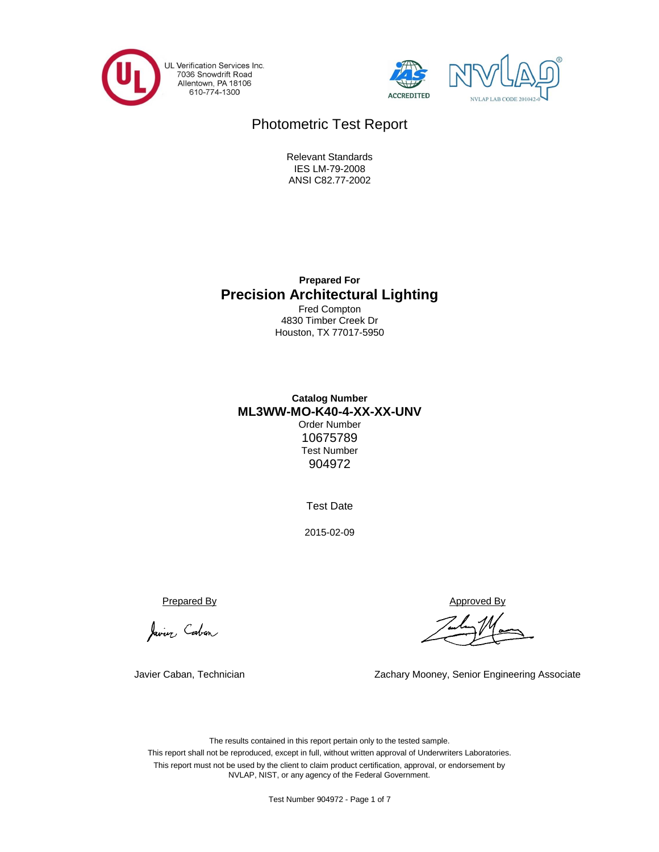





# Photometric Test Report

ANSI C82.77-2002 IES LM-79-2008 Relevant Standards

**Precision Architectural Lighting Prepared For**

Houston, TX 77017-5950 4830 Timber Creek Dr Fred Compton

## **Catalog Number ML3WW-MO-K40-4-XX-XX-UNV** Order Number

Test Number 10675789 904972

Test Date

2015-02-09

Javier Cabon

Javier Caban, Technician

Prepared By Approved By

Zachary Mooney, Senior Engineering Associate

The results contained in this report pertain only to the tested sample. This report shall not be reproduced, except in full, without written approval of Underwriters Laboratories. This report must not be used by the client to claim product certification, approval, or endorsement by NVLAP, NIST, or any agency of the Federal Government.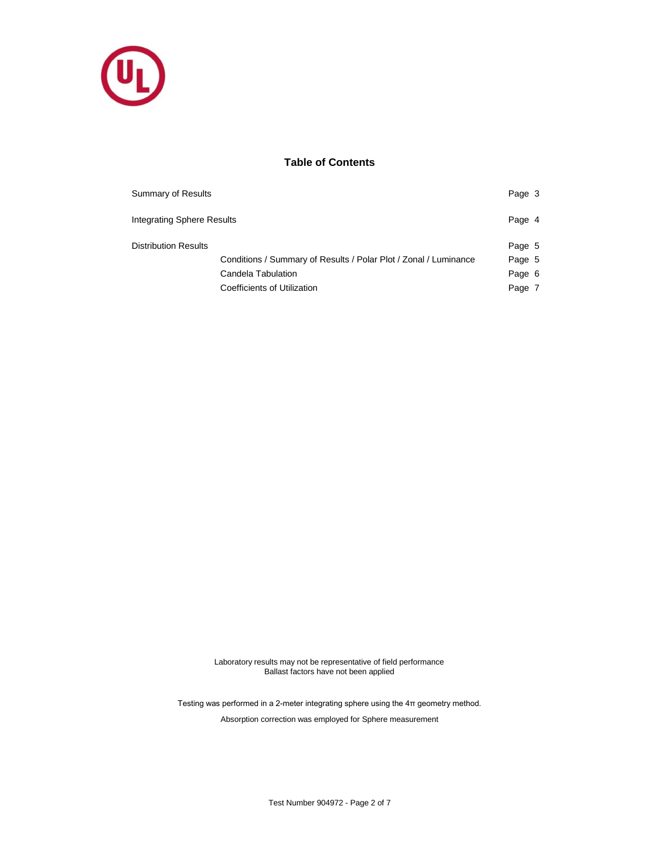

## **Table of Contents**

| Summary of Results          |                                                                  | Page 3 |  |
|-----------------------------|------------------------------------------------------------------|--------|--|
| Integrating Sphere Results  |                                                                  | Page 4 |  |
| <b>Distribution Results</b> |                                                                  | Page 5 |  |
|                             | Conditions / Summary of Results / Polar Plot / Zonal / Luminance | Page 5 |  |
|                             | Candela Tabulation                                               | Page 6 |  |
|                             | Coefficients of Utilization                                      | Page 7 |  |

Laboratory results may not be representative of field performance Ballast factors have not been applied

Testing was performed in a 2-meter integrating sphere using the 4π geometry method.

Absorption correction was employed for Sphere measurement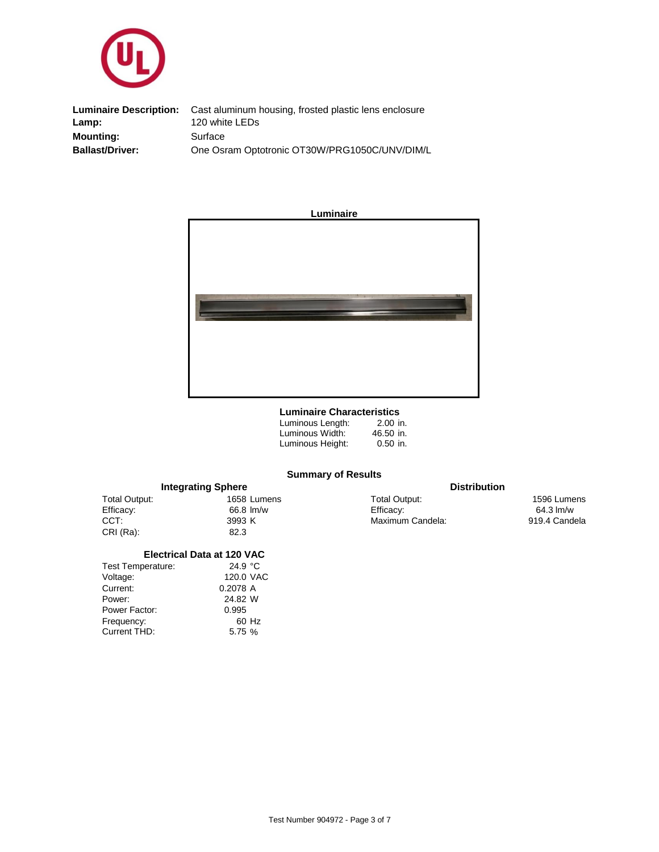

Cast aluminum housing, frosted plastic lens enclosure **Mounting: Ballast/Driver:** One Osram Optotronic OT30W/PRG1050C/UNV/DIM/L **Surface Luminaire Description:** Lamp: 120 white LEDs



#### **Luminaire Characteristics**

| Luminous Length: | $2.00$ in. |
|------------------|------------|
| Luminous Width:  | 46.50 in.  |
| Luminous Height: | $0.50$ in. |

## **Summary of Results**

|               | <b>Integrating Sphere</b> | <b>Distribution</b> |                     |
|---------------|---------------------------|---------------------|---------------------|
| Total Output: | 1658 Lumens               | Total Output:       | 1596 Lumens         |
| Efficacy:     | 66.8 lm/w                 | Efficacy:           | $64.3 \text{ Im/w}$ |
| CCT:          | 3993 K                    | Maximum Candela:    | 919.4 Candela       |
| CRI (Ra):     | 82.3                      |                     |                     |

### **Electrical Data at 120 VAC**

| 120.0 VAC<br>Voltage:<br>0.2078 A<br>Current: |  |
|-----------------------------------------------|--|
|                                               |  |
|                                               |  |
| 24.82 W<br>Power:                             |  |
| 0.995<br>Power Factor:                        |  |
| Frequency:<br>60 Hz                           |  |
| Current THD:<br>5.75 %                        |  |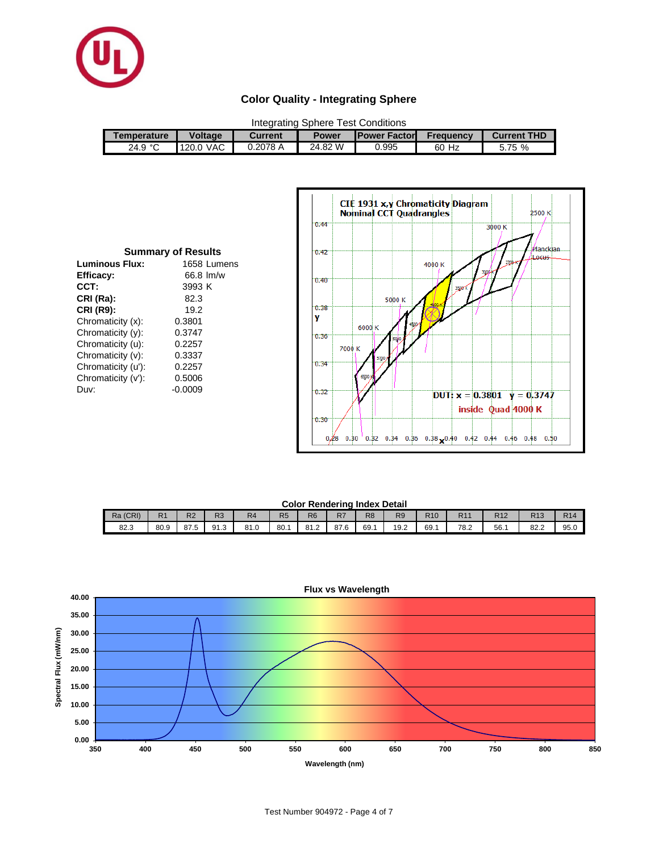

## **Color Quality - Integrating Sphere**

| Integrating Sphere Test Conditions |                |                |              |                      |           |                    |  |  |
|------------------------------------|----------------|----------------|--------------|----------------------|-----------|--------------------|--|--|
| Temperature                        | <b>Voltage</b> | <b>Current</b> | <b>Power</b> | <b>IPower Factor</b> | Frequency | <b>Current THD</b> |  |  |
| 24.9 $^{\circ}$ C                  | 120.0 VAC      | 0.2078A        | 24.82 W      | 0.995                | 60 Hz     | 5.75 %             |  |  |

| <b>Summary of Results</b> |         |             |  |  |  |  |  |  |  |
|---------------------------|---------|-------------|--|--|--|--|--|--|--|
| <b>Luminous Flux:</b>     |         | 1658 Lumens |  |  |  |  |  |  |  |
| Efficacy:                 |         | 66.8 lm/w   |  |  |  |  |  |  |  |
| CCT:                      | 3993 K  |             |  |  |  |  |  |  |  |
| CRI (Ra):                 | 82.3    |             |  |  |  |  |  |  |  |
| <b>CRI (R9):</b>          | 19.2    |             |  |  |  |  |  |  |  |
| Chromaticity (x):         | 0.3801  |             |  |  |  |  |  |  |  |
| Chromaticity (y):         | 0.3747  |             |  |  |  |  |  |  |  |
| Chromaticity (u):         | 0.2257  |             |  |  |  |  |  |  |  |
| Chromaticity (v):         | 0.3337  |             |  |  |  |  |  |  |  |
| Chromaticity (u'):        | 0.2257  |             |  |  |  |  |  |  |  |
| Chromaticity (v'):        | 0.5006  |             |  |  |  |  |  |  |  |
| Duv:                      | -0.0009 |             |  |  |  |  |  |  |  |



#### **Color Rendering Index Detail**

| <u> Yyıvı ilyindening iligen polail</u> |                        |                |                |                |                |                |                 |                |      |                 |                 |                 |             |            |
|-----------------------------------------|------------------------|----------------|----------------|----------------|----------------|----------------|-----------------|----------------|------|-----------------|-----------------|-----------------|-------------|------------|
| Ra (CRI)                                | D <sub>4</sub><br>rs i | R <sub>2</sub> | R <sub>3</sub> | R <sub>4</sub> | R <sub>5</sub> | R <sub>6</sub> | כח<br><u>k/</u> | R <sub>8</sub> | R9   | R <sub>10</sub> | R <sub>11</sub> | R <sub>12</sub> | D42<br>טו ה | <b>R14</b> |
| 82.3                                    | 80.9                   | 87.5           | 91.3           | 81.0           | 80.1           | 81.2           | $\sim$<br>87.O  | 69.1           | 19.2 | 69.1            | 78.2            | 56.1            | 82.2        | 95.0       |

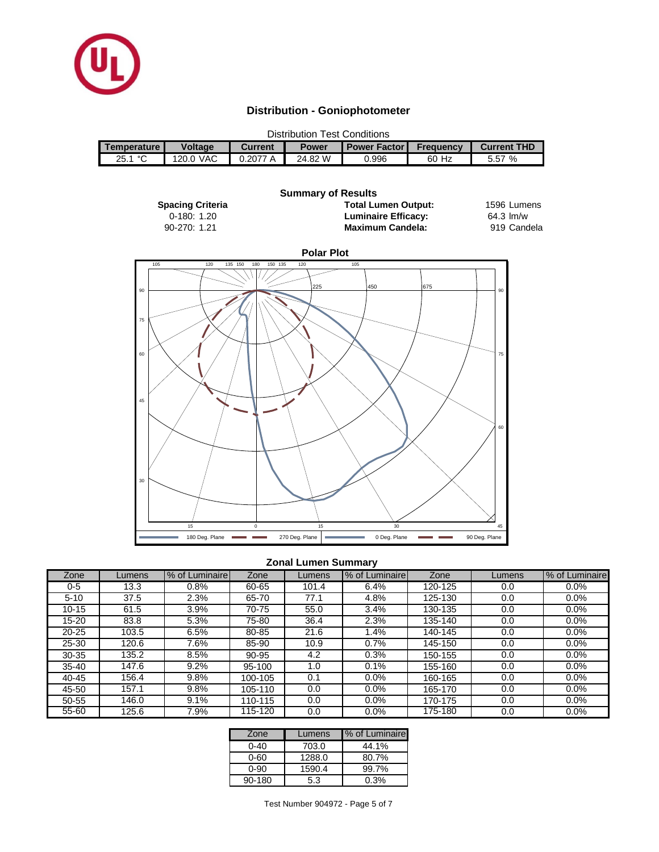

## **Distribution - Goniophotometer**

| <b>Distribution Test Conditions</b> |                |         |              |                       |                  |             |  |  |
|-------------------------------------|----------------|---------|--------------|-----------------------|------------------|-------------|--|--|
| Temperature I                       | <b>Voltage</b> | Current | <b>Power</b> | <b>Power Factor I</b> | <b>Frequency</b> | Current THD |  |  |
| $\sim$<br>25.1                      | 120.0 VAC      | 0.2077A | 24.82 W      | 0.996                 | 60 Hz            | 5.57 %      |  |  |



## **Zonal Lumen Summary**

| Zone      | Lumens | % of Luminaire | Zone    | Lumens | % of Luminairel | Zone    | Lumens | % of Luminaire |
|-----------|--------|----------------|---------|--------|-----------------|---------|--------|----------------|
| 0-5       | 13.3   | $0.8\%$        | 60-65   | 101.4  | 6.4%            | 120-125 | 0.0    | $0.0\%$        |
| $5 - 10$  | 37.5   | 2.3%           | 65-70   | 77.1   | 4.8%            | 125-130 | 0.0    | 0.0%           |
| $10 - 15$ | 61.5   | 3.9%           | 70-75   | 55.0   | 3.4%            | 130-135 | 0.0    | 0.0%           |
| $15 - 20$ | 83.8   | 5.3%           | 75-80   | 36.4   | 2.3%            | 135-140 | 0.0    | 0.0%           |
| $20 - 25$ | 103.5  | 6.5%           | 80-85   | 21.6   | 1.4%            | 140-145 | 0.0    | 0.0%           |
| 25-30     | 120.6  | 7.6%           | 85-90   | 10.9   | 0.7%            | 145-150 | 0.0    | 0.0%           |
| 30-35     | 135.2  | 8.5%           | 90-95   | 4.2    | 0.3%            | 150-155 | 0.0    | 0.0%           |
| $35 - 40$ | 147.6  | 9.2%           | 95-100  | 1.0    | 0.1%            | 155-160 | 0.0    | 0.0%           |
| $40 - 45$ | 156.4  | 9.8%           | 100-105 | 0.1    | 0.0%            | 160-165 | 0.0    | 0.0%           |
| 45-50     | 157.1  | 9.8%           | 105-110 | 0.0    | 0.0%            | 165-170 | 0.0    | 0.0%           |
| 50-55     | 146.0  | 9.1%           | 110-115 | 0.0    | 0.0%            | 170-175 | 0.0    | 0.0%           |
| 55-60     | 125.6  | 7.9%           | 115-120 | 0.0    | 0.0%            | 175-180 | 0.0    | 0.0%           |

| Zone   | Lumens | % of Luminaire |
|--------|--------|----------------|
| ი-4ი   | 703.0  | 44.1%          |
| 0-60   | 1288.0 | 80.7%          |
| 0-90   | 1590.4 | 99.7%          |
| 90-180 | 5.3    | 0.3%           |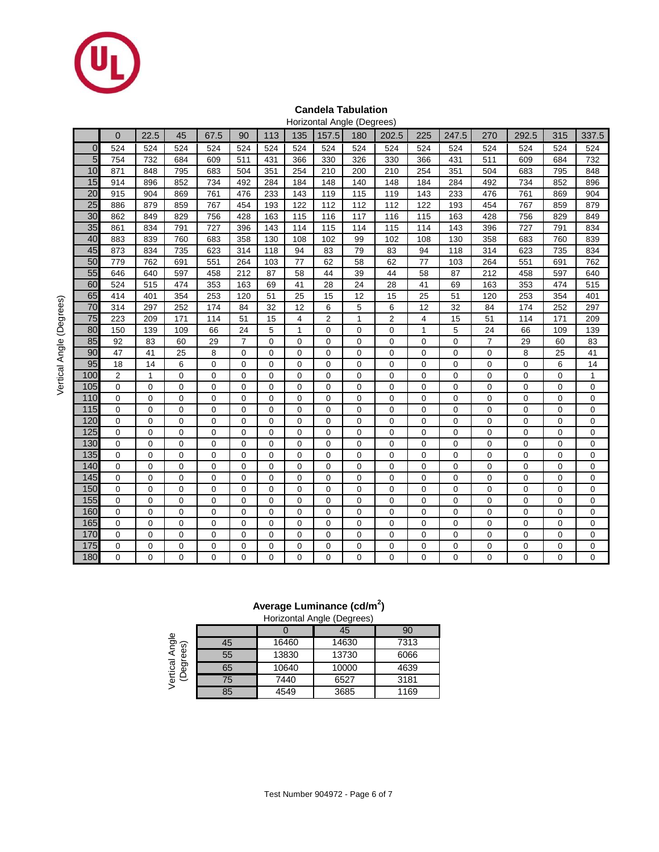

## **Candela Tabulation**

|                 |                |                |                |                |                |                |                |                | Horizontal Angle (Degrees) |                |                  |                |                |                |             |                |
|-----------------|----------------|----------------|----------------|----------------|----------------|----------------|----------------|----------------|----------------------------|----------------|------------------|----------------|----------------|----------------|-------------|----------------|
|                 | $\overline{0}$ | 22.5           | 45             | 67.5           | 90             | 113            | 135            | 157.5          | 180                        | 202.5          | 225              | 247.5          | 270            | 292.5          | 315         | 337.5          |
| $\overline{0}$  | 524            | 524            | 524            | 524            | 524            | 524            | 524            | 524            | 524                        | 524            | 524              | 524            | 524            | 524            | 524         | 524            |
| 5               | 754            | 732            | 684            | 609            | 511            | 431            | 366            | 330            | 326                        | 330            | 366              | 431            | 511            | 609            | 684         | 732            |
| 10              | 871            | 848            | 795            | 683            | 504            | 351            | 254            | 210            | 200                        | 210            | 254              | 351            | 504            | 683            | 795         | 848            |
| 15              | 914            | 896            | 852            | 734            | 492            | 284            | 184            | 148            | 140                        | 148            | 184              | 284            | 492            | 734            | 852         | 896            |
| $\overline{20}$ | 915            | 904            | 869            | 761            | 476            | 233            | 143            | 119            | 115                        | 119            | 143              | 233            | 476            | 761            | 869         | 904            |
| $\overline{25}$ | 886            | 879            | 859            | 767            | 454            | 193            | 122            | 112            | 112                        | 112            | 122              | 193            | 454            | 767            | 859         | 879            |
| 30              | 862            | 849            | 829            | 756            | 428            | 163            | 115            | 116            | 117                        | 116            | 115              | 163            | 428            | 756            | 829         | 849            |
| 35              | 861            | 834            | 791            | 727            | 396            | 143            | 114            | 115            | 114                        | 115            | 114              | 143            | 396            | 727            | 791         | 834            |
| 40              | 883            | 839            | 760            | 683            | 358            | 130            | 108            | 102            | 99                         | 102            | $10\overline{8}$ | 130            | 358            | 683            | 760         | 839            |
| 45              | 873            | 834            | 735            | 623            | 314            | 118            | 94             | 83             | 79                         | 83             | 94               | 118            | 314            | 623            | 735         | 834            |
| 50              | 779            | 762            | 691            | 551            | 264            | 103            | 77             | 62             | 58                         | 62             | 77               | 103            | 264            | 551            | 691         | 762            |
| 55              | 646            | 640            | 597            | 458            | 212            | 87             | 58             | 44             | 39                         | 44             | 58               | 87             | 212            | 458            | 597         | 640            |
| 60              | 524            | 515            | 474            | 353            | 163            | 69             | 41             | 28             | 24                         | 28             | 41               | 69             | 163            | 353            | 474         | 515            |
| 65              | 414            | 401            | 354            | 253            | 120            | 51             | 25             | 15             | 12                         | 15             | 25               | 51             | 120            | 253            | 354         | 401            |
| 70              | 314            | 297            | 252            | 174            | 84             | 32             | 12             | 6              | 5                          | 6              | 12               | 32             | 84             | 174            | 252         | 297            |
| $\overline{75}$ | 223            | 209            | 171            | 114            | 51             | 15             | $\overline{4}$ | $\overline{2}$ | $\mathbf{1}$               | $\overline{2}$ | $\overline{4}$   | 15             | 51             | 114            | 171         | 209            |
| 80              | 150            | 139            | 109            | 66             | 24             | 5              | $\mathbf{1}$   | $\overline{0}$ | $\mathbf 0$                | 0              | $\mathbf{1}$     | 5              | 24             | 66             | 109         | 139            |
| 85              | 92             | 83             | 60             | 29             | $\overline{7}$ | $\mathbf 0$    | $\mathbf 0$    | $\mathbf 0$    | $\mathbf 0$                | $\mathbf 0$    | 0                | $\overline{0}$ | $\overline{7}$ | 29             | 60          | 83             |
| 90              | 47             | 41             | 25             | 8              | $\mathbf 0$    | 0              | $\mathbf 0$    | $\mathbf 0$    | 0                          | 0              | 0                | $\mathbf 0$    | 0              | 8              | 25          | 41             |
| 95              | 18             | 14             | 6              | $\overline{0}$ | $\mathbf 0$    | $\mathbf 0$    | $\mathbf 0$    | $\overline{0}$ | 0                          | $\overline{0}$ | 0                | $\overline{0}$ | 0              | 0              | 6           | 14             |
| 100             | $\overline{2}$ | $\mathbf{1}$   | $\mathbf 0$    | $\overline{0}$ | $\mathbf 0$    | $\mathbf 0$    | $\mathbf 0$    | $\mathbf 0$    | $\mathbf 0$                | 0              | 0                | $\mathbf 0$    | 0              | 0              | 0           | $\mathbf{1}$   |
| 105             | $\mathbf 0$    | $\mathbf 0$    | $\mathbf 0$    | $\overline{0}$ | $\Omega$       | $\mathbf 0$    | $\mathbf 0$    | $\mathbf 0$    | 0                          | 0              | 0                | $\overline{0}$ | 0              | 0              | 0           | 0              |
| 110             | $\mathbf 0$    | $\mathbf 0$    | $\mathbf 0$    | $\mathbf 0$    | $\overline{0}$ | $\mathbf 0$    | $\mathbf 0$    | $\overline{0}$ | $\mathbf 0$                | $\mathbf 0$    | 0                | $\mathbf 0$    | 0              | 0              | $\mathbf 0$ | $\mathbf 0$    |
| 115             | $\mathbf 0$    | $\mathbf 0$    | $\mathbf 0$    | $\overline{0}$ | $\Omega$       | $\mathbf 0$    | $\mathbf 0$    | $\overline{0}$ | $\mathbf 0$                | $\mathbf 0$    | 0                | $\mathbf 0$    | 0              | 0              | 0           | $\overline{0}$ |
| 120             | $\mathbf 0$    | $\mathbf 0$    | $\mathbf 0$    | $\overline{0}$ | $\mathbf 0$    | 0              | $\Omega$       | $\mathbf 0$    | 0                          | 0              | 0                | $\mathbf 0$    | 0              | 0              | 0           | $\mathbf 0$    |
| 125             | $\mathbf 0$    | $\mathbf 0$    | 0              | $\overline{0}$ | $\mathbf 0$    | 0              | $\mathbf 0$    | $\overline{0}$ | 0                          | $\overline{0}$ | 0                | $\overline{0}$ | 0              | $\overline{0}$ | 0           | $\mathbf 0$    |
| 130             | $\mathbf 0$    | $\mathbf 0$    | 0              | $\overline{0}$ | $\mathbf 0$    | 0              | $\mathbf 0$    | $\mathbf 0$    | 0                          | 0              | 0                | $\mathbf 0$    | 0              | 0              | 0           | $\mathbf 0$    |
| 135             | $\mathbf 0$    | $\overline{0}$ | 0              | $\overline{0}$ | $\Omega$       | $\overline{0}$ | $\Omega$       | $\overline{0}$ | 0                          | $\overline{0}$ | 0                | $\overline{0}$ | 0              | $\overline{0}$ | 0           | $\mathbf 0$    |
| 140             | $\mathbf 0$    | $\mathbf 0$    | $\mathbf 0$    | $\overline{0}$ | $\mathbf 0$    | $\overline{0}$ | $\mathbf 0$    | $\mathbf 0$    | $\mathbf 0$                | 0              | 0                | $\overline{0}$ | 0              | 0              | 0           | $\mathbf 0$    |
| 145             | $\mathbf 0$    | $\mathbf 0$    | $\mathbf 0$    | $\Omega$       | $\mathbf 0$    | $\Omega$       | $\Omega$       | $\mathbf 0$    | $\mathbf 0$                | $\mathbf 0$    | 0                | $\overline{0}$ | 0              | $\overline{0}$ | 0           | $\mathbf 0$    |
| 150             | 0              | $\mathbf 0$    | $\overline{0}$ | $\overline{0}$ | $\mathbf 0$    | $\overline{0}$ | $\mathbf 0$    | $\mathbf 0$    | 0                          | 0              | 0                | $\mathbf 0$    | 0              | 0              | 0           | $\mathbf 0$    |
| 155             | 0              | $\mathbf 0$    | $\Omega$       | $\overline{0}$ | $\mathbf 0$    | $\overline{0}$ | $\Omega$       | $\overline{0}$ | 0                          | $\overline{0}$ | 0                | $\overline{0}$ | 0              | 0              | 0           | $\mathbf 0$    |
| 160             | $\pmb{0}$      | $\mathbf 0$    | 0              | $\overline{0}$ | $\mathbf 0$    | 0              | $\mathbf 0$    | $\mathbf 0$    | $\mathbf 0$                | 0              | 0                | $\mathbf 0$    | 0              | 0              | 0           | $\mathbf 0$    |
| 165             | $\mathbf 0$    | 0              | 0              | $\overline{0}$ | $\mathbf 0$    | 0              | $\mathbf 0$    | $\overline{0}$ | 0                          | 0              | 0                | $\mathbf 0$    | 0              | 0              | 0           | $\mathbf 0$    |
| 170             | $\pmb{0}$      | $\mathbf 0$    | $\overline{0}$ | $\mathbf 0$    | $\overline{0}$ | $\overline{0}$ | $\mathbf 0$    | $\mathbf 0$    | 0                          | $\pmb{0}$      | $\mathbf 0$      | $\mathbf 0$    | 0              | 0              | 0           | $\mathbf 0$    |
| 175             | 0              | $\mathbf 0$    | $\overline{0}$ | $\overline{0}$ | $\mathbf 0$    | 0              | $\mathbf 0$    | $\overline{0}$ | 0                          | 0              | 0                | $\overline{0}$ | 0              | 0              | 0           | $\mathbf 0$    |
| 180             | 0              | $\mathbf 0$    | 0              | $\Omega$       | $\Omega$       | $\Omega$       | $\Omega$       | $\Omega$       | 0                          | 0              | 0                | $\Omega$       | 0              | 0              | 0           | $\overline{0}$ |

## **Average Luminance (cd/m<sup>2</sup> )**

| Horizontal Angle (Degrees) |  |  |
|----------------------------|--|--|

|                     |    |       | Thorizorital / trigio (Dogrood) |      |
|---------------------|----|-------|---------------------------------|------|
|                     |    |       | 45                              | 90   |
| ত ত                 | 45 | 16460 | 14630                           | 7313 |
| Φ<br>Ξ.<br>ረበ<br>٠. | 55 | 13830 | 13730                           | 6066 |
| (Degr               | 65 | 10640 | 10000                           | 4639 |
|                     | 75 | 7440  | 6527                            | 3181 |
|                     | 85 | 4549  | 3685                            | 1169 |

Vertical Angle